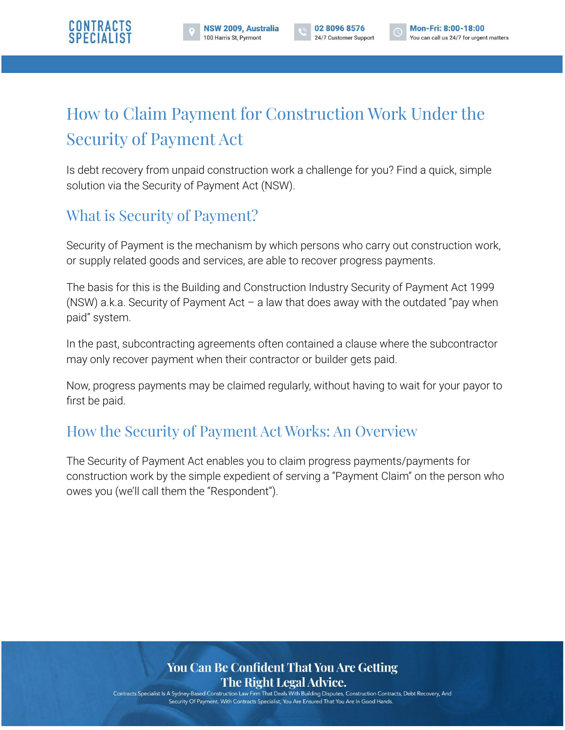

# How to Claim Payment for Construction Work Under the Security of Payment Act

Is debt recovery from unpaid construction work a challenge for you? Find a quick, simple solution via the Security of Payment Act (NSW).

# What is Security of Payment?

Security of Payment is the mechanism by which persons who carry out construction work, or supply related goods and services, are able to recover progress payments.

The basis for this is the Building and Construction Industry Security of Payment Act 1999 (NSW) a.k.a. Security of Payment Act  $-$  a law that does away with the outdated "pay when paid" system.

In the past, subcontracting agreements often contained a clause where the subcontractor may only recover payment when their contractor or builder gets paid.

Now, progress payments may be claimed regularly, without having to wait for your payor to first be paid.

# How the Security of Payment Act Works: An Overview

The Security of Payment Act enables you to claim progress payments/payments for construction work by the simple expedient of serving a "Payment Claim" on the person who owes you (we'll call them the "Respondent").

#### You Can Be Confident That You Are Getting The Right Legal Advice.

Contracts Specialist Is A Sydney-Based Construction Law Firm That Deals With Building Disputes, Construction Contracts, Debt Recovery, And Security Of Payment. With Contracts Specialist, You Are Ensured That You Are In Good Hands.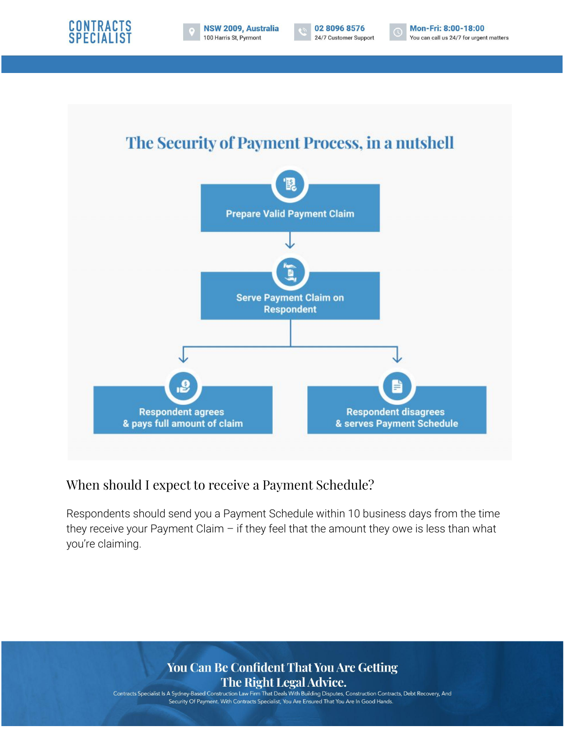





Mon-Fri: 8:00-18:00  $\overline{\mathbb{C}}$ You can call us 24/7 for urgent matters



#### When should I expect to receive a Payment Schedule?

Respondents should send you a Payment Schedule within 10 business days from the time they receive your Payment Claim  $-$  if they feel that the amount they owe is less than what you're claiming.

#### You Can Be Confident That You Are Getting The Right Legal Advice.

Contracts Specialist Is A Sydney-Based Construction Law Firm That Deals With Building Disputes, Construction Contracts, Debt Recovery, And Security Of Payment. With Contracts Specialist, You Are Ensured That You Are In Good Hands.